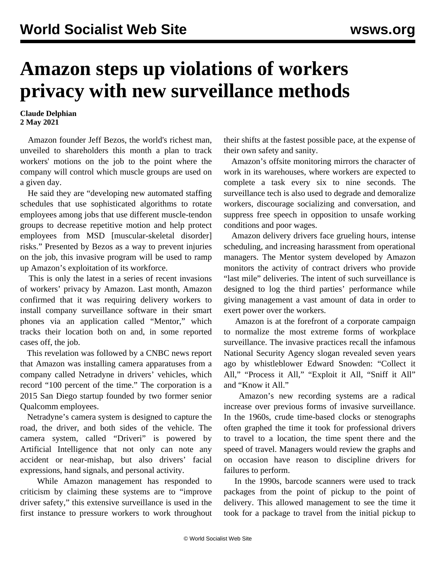## **Amazon steps up violations of workers privacy with new surveillance methods**

**Claude Delphian 2 May 2021**

 Amazon founder Jeff Bezos, the world's richest man, unveiled to shareholders this month a plan to track workers' motions on the job to the point where the company will control which muscle groups are used on a given day.

 He said they are "developing new automated staffing schedules that use sophisticated algorithms to rotate employees among jobs that use different muscle-tendon groups to decrease repetitive motion and help protect employees from MSD [muscular-skeletal disorder] risks." Presented by Bezos as a way to prevent injuries on the job, this invasive program will be used to ramp up Amazon's exploitation of its workforce.

 This is only the latest in a series of recent invasions of workers' privacy by Amazon. Last month, Amazon confirmed that it was requiring delivery workers to install company surveillance software in their smart phones via an application called "Mentor," which tracks their location both on and, in some reported cases off, the job.

 This revelation was followed by a CNBC news report that Amazon was installing camera apparatuses from a company called Netradyne in drivers' vehicles, which record "100 percent of the time." The corporation is a 2015 San Diego startup founded by two former senior Qualcomm employees.

 Netradyne's camera system is designed to capture the road, the driver, and both sides of the vehicle. The camera system, called "Driveri" is powered by Artificial Intelligence that not only can note any accident or near-mishap, but also drivers' facial expressions, hand signals, and personal activity.

 While Amazon management has responded to criticism by claiming these systems are to "improve driver safety," this extensive surveillance is used in the first instance to pressure workers to work throughout their shifts at the fastest possible pace, at the expense of their own safety and sanity.

 Amazon's offsite monitoring mirrors the character of work in its warehouses, where workers are expected to complete a task every six to nine seconds. The surveillance tech is also used to degrade and demoralize workers, discourage socializing and conversation, and suppress free speech in opposition to unsafe working conditions and poor wages.

 Amazon delivery drivers face grueling hours, intense scheduling, and increasing harassment from operational managers. The Mentor system developed by Amazon monitors the activity of contract drivers who provide "last mile" deliveries. The intent of such surveillance is designed to log the third parties' performance while giving management a vast amount of data in order to exert power over the workers.

 Amazon is at the forefront of a corporate campaign to normalize the most extreme forms of workplace surveillance. The invasive practices recall the infamous National Security Agency slogan revealed [seven years](/en/articles/2014/09/13/yaho-s13.html) [ago](/en/articles/2014/09/13/yaho-s13.html) by whistleblower Edward Snowden: "Collect it All," "Process it All," "Exploit it All, "Sniff it All" and "Know it All."

 Amazon's new recording systems are a radical increase over previous forms of invasive surveillance. In the 1960s, crude time-based clocks or stenographs often graphed the time it took for professional drivers to travel to a location, the time spent there and the speed of travel. Managers would review the graphs and on occasion have reason to discipline drivers for failures to perform.

 In the 1990s, barcode scanners were used to track packages from the point of pickup to the point of delivery. This allowed management to see the time it took for a package to travel from the initial pickup to